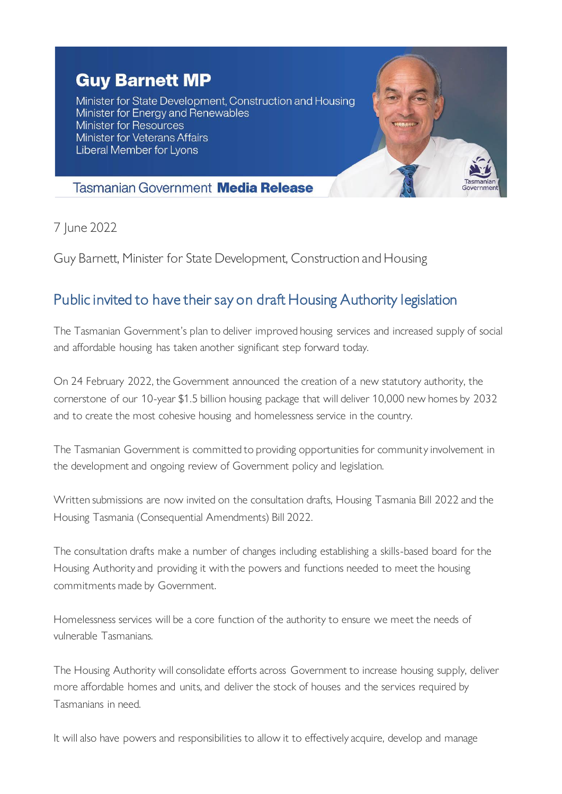## **Guy Barnett MP**

Minister for State Development, Construction and Housing Minister for Energy and Renewables **Minister for Resources Minister for Veterans Affairs Liberal Member for Lyons** 



## **Tasmanian Government Media Release**

7 June 2022

Guy Barnett, Minister for State Development, Construction and Housing

## Public invited to have their say on draft Housing Authority legislation

The Tasmanian Government's plan to deliver improved housing services and increased supply of social and affordable housing has taken another significant step forward today.

On 24 February 2022, the Government announced the creation of a new statutory authority, the cornerstone of our 10-year \$1.5 billion housing package that will deliver 10,000 new homes by 2032 and to create the most cohesive housing and homelessness service in the country.

The Tasmanian Government is committed to providing opportunities for community involvement in the development and ongoing review of Government policy and legislation.

Written submissions are now invited on the consultation drafts, Housing Tasmania Bill 2022 and the Housing Tasmania (Consequential Amendments) Bill 2022.

The consultation drafts make a number of changes including establishing a skills-based board for the Housing Authority and providing it with the powers and functions needed to meet the housing commitments made by Government.

Homelessness services will be a core function of the authority to ensure we meet the needs of vulnerable Tasmanians.

The Housing Authority will consolidate efforts across Government to increase housing supply, deliver more affordable homes and units, and deliver the stock of houses and the services required by Tasmanians in need.

It will also have powers and responsibilities to allow it to effectively acquire, develop and manage